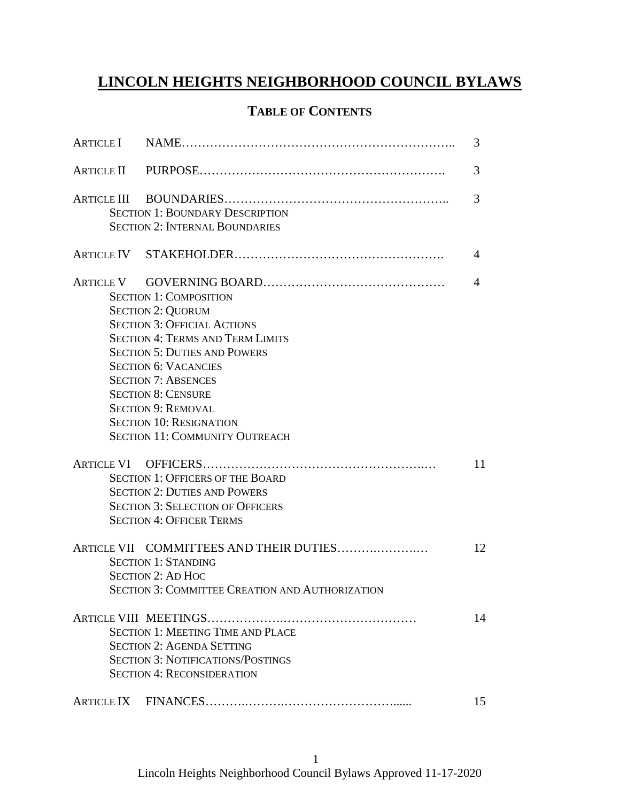# **LINCOLN HEIGHTS NEIGHBORHOOD COUNCIL BYLAWS**

# **TABLE OF CONTENTS**

|                                                                                                                                                                                                                                                                                                                                                                                     | 3  |
|-------------------------------------------------------------------------------------------------------------------------------------------------------------------------------------------------------------------------------------------------------------------------------------------------------------------------------------------------------------------------------------|----|
|                                                                                                                                                                                                                                                                                                                                                                                     | 3  |
| <b>SECTION 1: BOUNDARY DESCRIPTION</b><br><b>SECTION 2: INTERNAL BOUNDARIES</b>                                                                                                                                                                                                                                                                                                     | 3  |
|                                                                                                                                                                                                                                                                                                                                                                                     | 4  |
| <b>SECTION 1: COMPOSITION</b><br><b>SECTION 2: QUORUM</b><br><b>SECTION 3: OFFICIAL ACTIONS</b><br><b>SECTION 4: TERMS AND TERM LIMITS</b><br><b>SECTION 5: DUTIES AND POWERS</b><br><b>SECTION 6: VACANCIES</b><br><b>SECTION 7: ABSENCES</b><br><b>SECTION 8: CENSURE</b><br><b>SECTION 9: REMOVAL</b><br><b>SECTION 10: RESIGNATION</b><br><b>SECTION 11: COMMUNITY OUTREACH</b> | 4  |
| <b>SECTION 1: OFFICERS OF THE BOARD</b><br><b>SECTION 2: DUTIES AND POWERS</b><br><b>SECTION 3: SELECTION OF OFFICERS</b><br><b>SECTION 4: OFFICER TERMS</b>                                                                                                                                                                                                                        | 11 |
| ARTICLE VII COMMITTEES AND THEIR DUTIES<br><b>SECTION 1: STANDING</b><br><b>SECTION 2: AD HOC</b><br><b>SECTION 3: COMMITTEE CREATION AND AUTHORIZATION</b>                                                                                                                                                                                                                         | 12 |
| <b>SECTION 1: MEETING TIME AND PLACE</b><br><b>SECTION 2: AGENDA SETTING</b><br><b>SECTION 3: NOTIFICATIONS/POSTINGS</b><br><b>SECTION 4: RECONSIDERATION</b>                                                                                                                                                                                                                       | 14 |
|                                                                                                                                                                                                                                                                                                                                                                                     | 15 |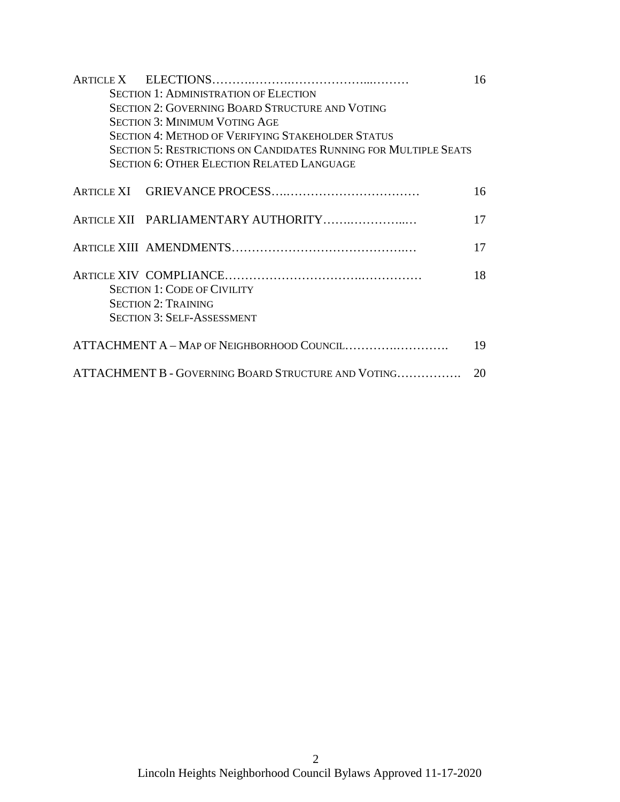|                                                           |                                                                         | 16 |  |  |
|-----------------------------------------------------------|-------------------------------------------------------------------------|----|--|--|
|                                                           | <b>SECTION 1: ADMINISTRATION OF ELECTION</b>                            |    |  |  |
|                                                           | <b>SECTION 2: GOVERNING BOARD STRUCTURE AND VOTING</b>                  |    |  |  |
|                                                           | <b>SECTION 3: MINIMUM VOTING AGE</b>                                    |    |  |  |
|                                                           | <b>SECTION 4: METHOD OF VERIFYING STAKEHOLDER STATUS</b>                |    |  |  |
|                                                           | <b>SECTION 5: RESTRICTIONS ON CANDIDATES RUNNING FOR MULTIPLE SEATS</b> |    |  |  |
|                                                           | <b>SECTION 6: OTHER ELECTION RELATED LANGUAGE</b>                       |    |  |  |
|                                                           |                                                                         | 16 |  |  |
|                                                           | ARTICLE XII PARLIAMENTARY AUTHORITY                                     | 17 |  |  |
|                                                           |                                                                         | 17 |  |  |
|                                                           | <b>SECTION 1: CODE OF CIVILITY</b><br><b>SECTION 2: TRAINING</b>        | 18 |  |  |
|                                                           | <b>SECTION 3: SELF-ASSESSMENT</b>                                       |    |  |  |
| ATTACHMENT A - MAP OF NEIGHBORHOOD COUNCIL<br>19          |                                                                         |    |  |  |
| ATTACHMENT B - GOVERNING BOARD STRUCTURE AND VOTING<br>20 |                                                                         |    |  |  |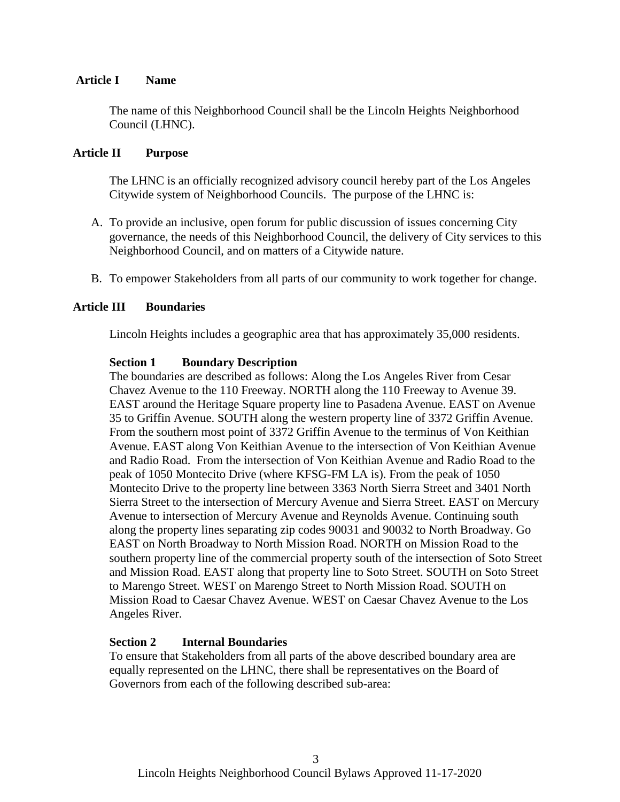#### **Article I Name**

The name of this Neighborhood Council shall be the Lincoln Heights Neighborhood Council (LHNC).

#### **Article II Purpose**

The LHNC is an officially recognized advisory council hereby part of the Los Angeles Citywide system of Neighborhood Councils. The purpose of the LHNC is:

- A. To provide an inclusive, open forum for public discussion of issues concerning City governance, the needs of this Neighborhood Council, the delivery of City services to this Neighborhood Council, and on matters of a Citywide nature.
- B. To empower Stakeholders from all parts of our community to work together for change.

#### **Article III Boundaries**

Lincoln Heights includes a geographic area that has approximately 35,000 residents.

#### **Section 1 Boundary Description**

The boundaries are described as follows: Along the Los Angeles River from Cesar Chavez Avenue to the 110 Freeway. NORTH along the 110 Freeway to Avenue 39. EAST around the Heritage Square property line to Pasadena Avenue. EAST on Avenue 35 to Griffin Avenue. SOUTH along the western property line of 3372 Griffin Avenue. From the southern most point of 3372 Griffin Avenue to the terminus of Von Keithian Avenue. EAST along Von Keithian Avenue to the intersection of Von Keithian Avenue and Radio Road. From the intersection of Von Keithian Avenue and Radio Road to the peak of 1050 Montecito Drive (where KFSG-FM LA is). From the peak of 1050 Montecito Drive to the property line between 3363 North Sierra Street and 3401 North Sierra Street to the intersection of Mercury Avenue and Sierra Street. EAST on Mercury Avenue to intersection of Mercury Avenue and Reynolds Avenue. Continuing south along the property lines separating zip codes 90031 and 90032 to North Broadway. Go EAST on North Broadway to North Mission Road. NORTH on Mission Road to the southern property line of the commercial property south of the intersection of Soto Street and Mission Road. EAST along that property line to Soto Street. SOUTH on Soto Street to Marengo Street. WEST on Marengo Street to North Mission Road. SOUTH on Mission Road to Caesar Chavez Avenue. WEST on Caesar Chavez Avenue to the Los Angeles River.

#### **Section 2 Internal Boundaries**

To ensure that Stakeholders from all parts of the above described boundary area are equally represented on the LHNC, there shall be representatives on the Board of Governors from each of the following described sub-area: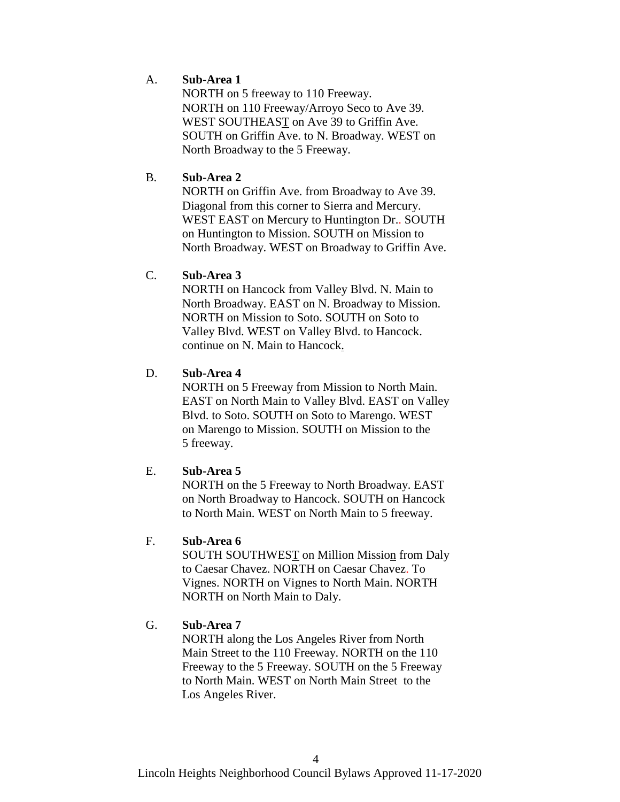## A. **Sub-Area 1**

NORTH on 5 freeway to 110 Freeway. NORTH on 110 Freeway/Arroyo Seco to Ave 39. WEST SOUTHEAST on Ave 39 to Griffin Ave. SOUTH on Griffin Ave. to N. Broadway. WEST on North Broadway to the 5 Freeway.

## B. **Sub-Area 2**

NORTH on Griffin Ave. from Broadway to Ave 39. Diagonal from this corner to Sierra and Mercury. WEST EAST on Mercury to Huntington Dr.. SOUTH on Huntington to Mission. SOUTH on Mission to North Broadway. WEST on Broadway to Griffin Ave.

## C. **Sub-Area 3**

NORTH on Hancock from Valley Blvd. N. Main to North Broadway. EAST on N. Broadway to Mission. NORTH on Mission to Soto. SOUTH on Soto to Valley Blvd. WEST on Valley Blvd. to Hancock. continue on N. Main to Hancock.

# D. **Sub-Area 4**

NORTH on 5 Freeway from Mission to North Main. EAST on North Main to Valley Blvd. EAST on Valley Blvd. to Soto. SOUTH on Soto to Marengo. WEST on Marengo to Mission. SOUTH on Mission to the 5 freeway.

## E. **Sub-Area 5**

NORTH on the 5 Freeway to North Broadway. EAST on North Broadway to Hancock. SOUTH on Hancock to North Main. WEST on North Main to 5 freeway.

## F. **Sub-Area 6**

SOUTH SOUTHWEST on Million Mission from Daly to Caesar Chavez. NORTH on Caesar Chavez. To Vignes. NORTH on Vignes to North Main. NORTH NORTH on North Main to Daly.

# G. **Sub-Area 7**

NORTH along the Los Angeles River from North Main Street to the 110 Freeway. NORTH on the 110 Freeway to the 5 Freeway. SOUTH on the 5 Freeway to North Main. WEST on North Main Street to the Los Angeles River.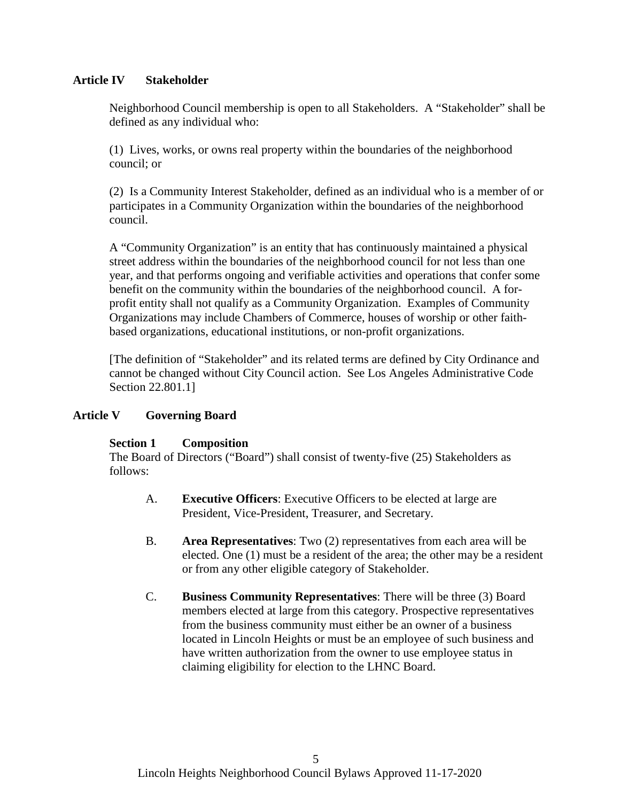## **Article IV Stakeholder**

Neighborhood Council membership is open to all Stakeholders. A "Stakeholder" shall be defined as any individual who:

(1) Lives, works, or owns real property within the boundaries of the neighborhood council; or

(2) Is a Community Interest Stakeholder, defined as an individual who is a member of or participates in a Community Organization within the boundaries of the neighborhood council.

A "Community Organization" is an entity that has continuously maintained a physical street address within the boundaries of the neighborhood council for not less than one year, and that performs ongoing and verifiable activities and operations that confer some benefit on the community within the boundaries of the neighborhood council. A forprofit entity shall not qualify as a Community Organization. Examples of Community Organizations may include Chambers of Commerce, houses of worship or other faithbased organizations, educational institutions, or non-profit organizations.

[The definition of "Stakeholder" and its related terms are defined by City Ordinance and cannot be changed without City Council action. See Los Angeles Administrative Code Section 22.801.1]

## **Article V Governing Board**

## **Section 1 Composition**

The Board of Directors ("Board") shall consist of twenty-five (25) Stakeholders as follows:

- A. **Executive Officers**: Executive Officers to be elected at large are President, Vice-President, Treasurer, and Secretary.
- B. **Area Representatives**: Two (2) representatives from each area will be elected. One (1) must be a resident of the area; the other may be a resident or from any other eligible category of Stakeholder.
- C. **Business Community Representatives**: There will be three (3) Board members elected at large from this category. Prospective representatives from the business community must either be an owner of a business located in Lincoln Heights or must be an employee of such business and have written authorization from the owner to use employee status in claiming eligibility for election to the LHNC Board.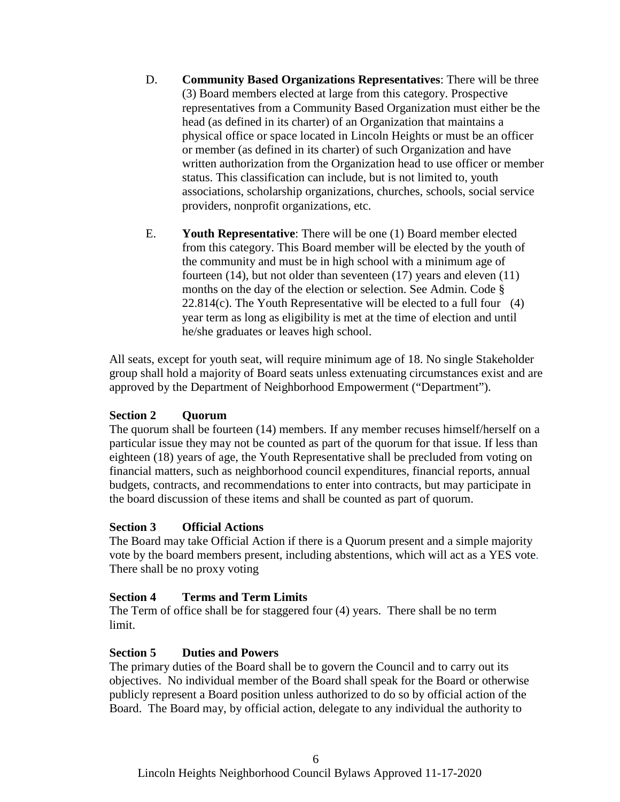- D. **Community Based Organizations Representatives**: There will be three (3) Board members elected at large from this category. Prospective representatives from a Community Based Organization must either be the head (as defined in its charter) of an Organization that maintains a physical office or space located in Lincoln Heights or must be an officer or member (as defined in its charter) of such Organization and have written authorization from the Organization head to use officer or member status. This classification can include, but is not limited to, youth associations, scholarship organizations, churches, schools, social service providers, nonprofit organizations, etc.
- E. **Youth Representative**: There will be one (1) Board member elected from this category. This Board member will be elected by the youth of the community and must be in high school with a minimum age of fourteen (14), but not older than seventeen (17) years and eleven (11) months on the day of the election or selection. See Admin. Code §  $22.814(c)$ . The Youth Representative will be elected to a full four (4) year term as long as eligibility is met at the time of election and until he/she graduates or leaves high school.

All seats, except for youth seat, will require minimum age of 18. No single Stakeholder group shall hold a majority of Board seats unless extenuating circumstances exist and are approved by the Department of Neighborhood Empowerment ("Department").

## **Section 2 Quorum**

The quorum shall be fourteen (14) members. If any member recuses himself/herself on a particular issue they may not be counted as part of the quorum for that issue. If less than eighteen (18) years of age, the Youth Representative shall be precluded from voting on financial matters, such as neighborhood council expenditures, financial reports, annual budgets, contracts, and recommendations to enter into contracts, but may participate in the board discussion of these items and shall be counted as part of quorum.

## **Section 3 Official Actions**

The Board may take Official Action if there is a Quorum present and a simple majority vote by the board members present, including abstentions, which will act as a YES vote. There shall be no proxy voting

## **Section 4 Terms and Term Limits**

The Term of office shall be for staggered four (4) years. There shall be no term limit.

## **Section 5 Duties and Powers**

The primary duties of the Board shall be to govern the Council and to carry out its objectives. No individual member of the Board shall speak for the Board or otherwise publicly represent a Board position unless authorized to do so by official action of the Board. The Board may, by official action, delegate to any individual the authority to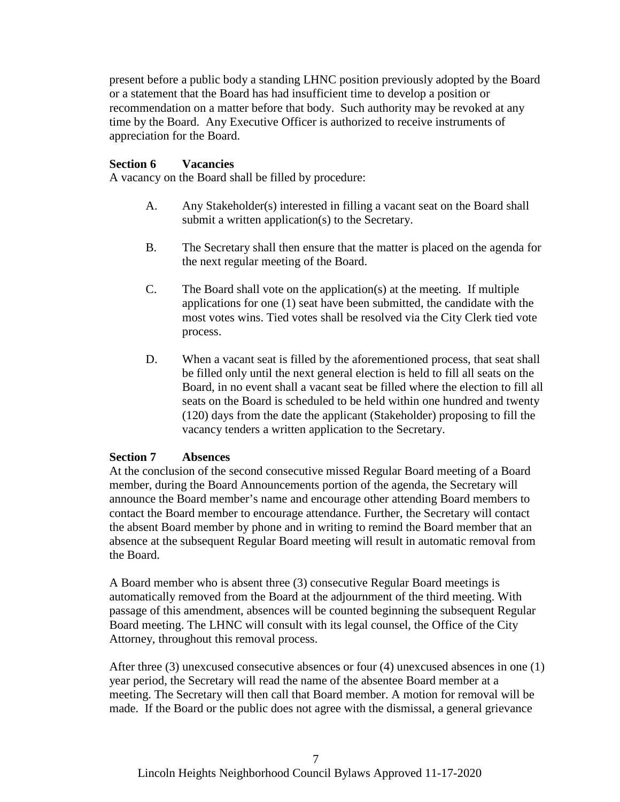present before a public body a standing LHNC position previously adopted by the Board or a statement that the Board has had insufficient time to develop a position or recommendation on a matter before that body. Such authority may be revoked at any time by the Board. Any Executive Officer is authorized to receive instruments of appreciation for the Board.

## **Section 6 Vacancies**

A vacancy on the Board shall be filled by procedure:

- A. Any Stakeholder(s) interested in filling a vacant seat on the Board shall submit a written application(s) to the Secretary.
- B. The Secretary shall then ensure that the matter is placed on the agenda for the next regular meeting of the Board.
- C. The Board shall vote on the application(s) at the meeting. If multiple applications for one (1) seat have been submitted, the candidate with the most votes wins. Tied votes shall be resolved via the City Clerk tied vote process.
- D. When a vacant seat is filled by the aforementioned process, that seat shall be filled only until the next general election is held to fill all seats on the Board, in no event shall a vacant seat be filled where the election to fill all seats on the Board is scheduled to be held within one hundred and twenty (120) days from the date the applicant (Stakeholder) proposing to fill the vacancy tenders a written application to the Secretary.

## **Section 7 Absences**

At the conclusion of the second consecutive missed Regular Board meeting of a Board member, during the Board Announcements portion of the agenda, the Secretary will announce the Board member's name and encourage other attending Board members to contact the Board member to encourage attendance. Further, the Secretary will contact the absent Board member by phone and in writing to remind the Board member that an absence at the subsequent Regular Board meeting will result in automatic removal from the Board.

A Board member who is absent three (3) consecutive Regular Board meetings is automatically removed from the Board at the adjournment of the third meeting. With passage of this amendment, absences will be counted beginning the subsequent Regular Board meeting. The LHNC will consult with its legal counsel, the Office of the City Attorney, throughout this removal process.

After three (3) unexcused consecutive absences or four (4) unexcused absences in one (1) year period, the Secretary will read the name of the absentee Board member at a meeting. The Secretary will then call that Board member. A motion for removal will be made. If the Board or the public does not agree with the dismissal, a general grievance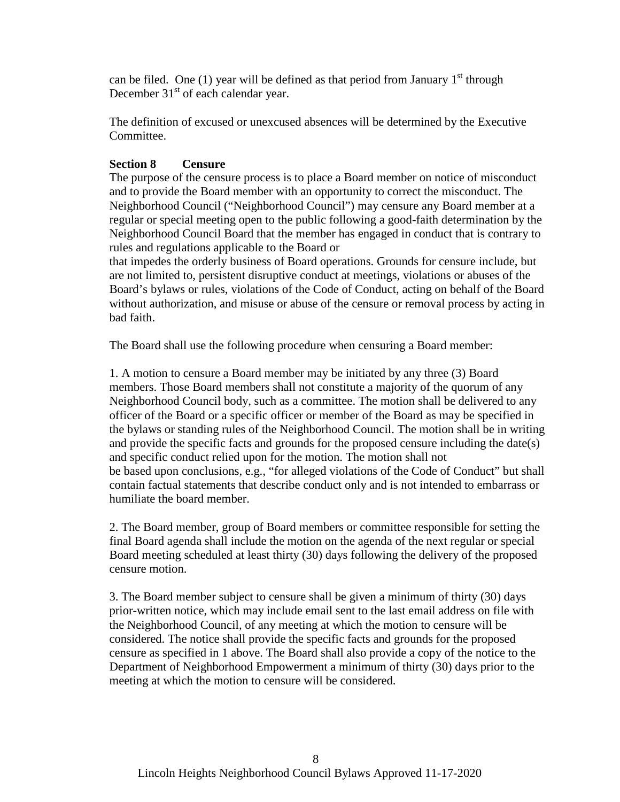can be filed. One (1) year will be defined as that period from January  $1<sup>st</sup>$  through December  $31<sup>st</sup>$  of each calendar year.

The definition of excused or unexcused absences will be determined by the Executive Committee.

# **Section 8 Censure**

The purpose of the censure process is to place a Board member on notice of misconduct and to provide the Board member with an opportunity to correct the misconduct. The Neighborhood Council ("Neighborhood Council") may censure any Board member at a regular or special meeting open to the public following a good-faith determination by the Neighborhood Council Board that the member has engaged in conduct that is contrary to rules and regulations applicable to the Board or

that impedes the orderly business of Board operations. Grounds for censure include, but are not limited to, persistent disruptive conduct at meetings, violations or abuses of the Board's bylaws or rules, violations of the Code of Conduct, acting on behalf of the Board without authorization, and misuse or abuse of the censure or removal process by acting in bad faith.

The Board shall use the following procedure when censuring a Board member:

1. A motion to censure a Board member may be initiated by any three (3) Board members. Those Board members shall not constitute a majority of the quorum of any Neighborhood Council body, such as a committee. The motion shall be delivered to any officer of the Board or a specific officer or member of the Board as may be specified in the bylaws or standing rules of the Neighborhood Council. The motion shall be in writing and provide the specific facts and grounds for the proposed censure including the date(s) and specific conduct relied upon for the motion. The motion shall not be based upon conclusions, e.g., "for alleged violations of the Code of Conduct" but shall contain factual statements that describe conduct only and is not intended to embarrass or humiliate the board member.

2. The Board member, group of Board members or committee responsible for setting the final Board agenda shall include the motion on the agenda of the next regular or special Board meeting scheduled at least thirty (30) days following the delivery of the proposed censure motion.

3. The Board member subject to censure shall be given a minimum of thirty (30) days prior-written notice, which may include email sent to the last email address on file with the Neighborhood Council, of any meeting at which the motion to censure will be considered. The notice shall provide the specific facts and grounds for the proposed censure as specified in 1 above. The Board shall also provide a copy of the notice to the Department of Neighborhood Empowerment a minimum of thirty (30) days prior to the meeting at which the motion to censure will be considered.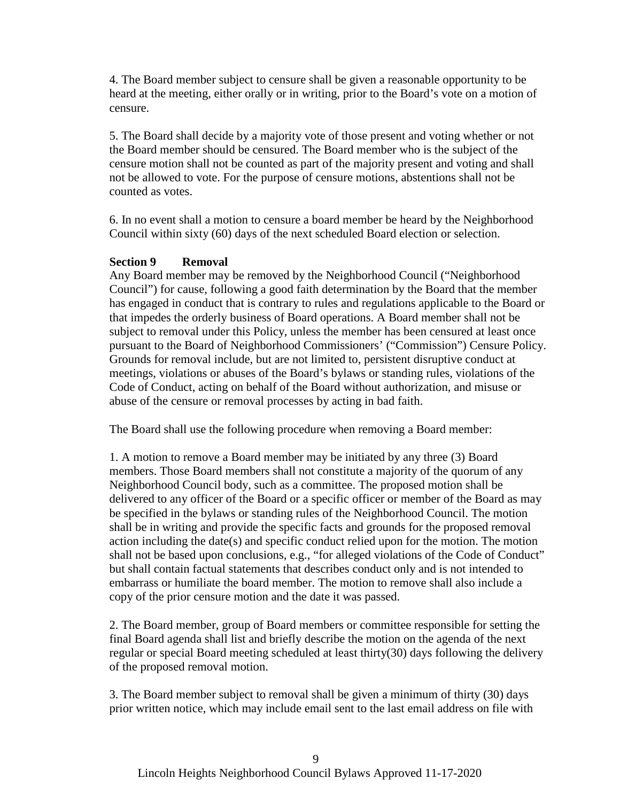4. The Board member subject to censure shall be given a reasonable opportunity to be heard at the meeting, either orally or in writing, prior to the Board's vote on a motion of censure.

5. The Board shall decide by a majority vote of those present and voting whether or not the Board member should be censured. The Board member who is the subject of the censure motion shall not be counted as part of the majority present and voting and shall not be allowed to vote. For the purpose of censure motions, abstentions shall not be counted as votes.

6. In no event shall a motion to censure a board member be heard by the Neighborhood Council within sixty (60) days of the next scheduled Board election or selection.

## **Section 9 Removal**

Any Board member may be removed by the Neighborhood Council ("Neighborhood Council") for cause, following a good faith determination by the Board that the member has engaged in conduct that is contrary to rules and regulations applicable to the Board or that impedes the orderly business of Board operations. A Board member shall not be subject to removal under this Policy, unless the member has been censured at least once pursuant to the Board of Neighborhood Commissioners' ("Commission") Censure Policy. Grounds for removal include, but are not limited to, persistent disruptive conduct at meetings, violations or abuses of the Board's bylaws or standing rules, violations of the Code of Conduct, acting on behalf of the Board without authorization, and misuse or abuse of the censure or removal processes by acting in bad faith.

The Board shall use the following procedure when removing a Board member:

1. A motion to remove a Board member may be initiated by any three (3) Board members. Those Board members shall not constitute a majority of the quorum of any Neighborhood Council body, such as a committee. The proposed motion shall be delivered to any officer of the Board or a specific officer or member of the Board as may be specified in the bylaws or standing rules of the Neighborhood Council. The motion shall be in writing and provide the specific facts and grounds for the proposed removal action including the date(s) and specific conduct relied upon for the motion. The motion shall not be based upon conclusions, e.g., "for alleged violations of the Code of Conduct" but shall contain factual statements that describes conduct only and is not intended to embarrass or humiliate the board member. The motion to remove shall also include a copy of the prior censure motion and the date it was passed.

2. The Board member, group of Board members or committee responsible for setting the final Board agenda shall list and briefly describe the motion on the agenda of the next regular or special Board meeting scheduled at least thirty(30) days following the delivery of the proposed removal motion.

3. The Board member subject to removal shall be given a minimum of thirty (30) days prior written notice, which may include email sent to the last email address on file with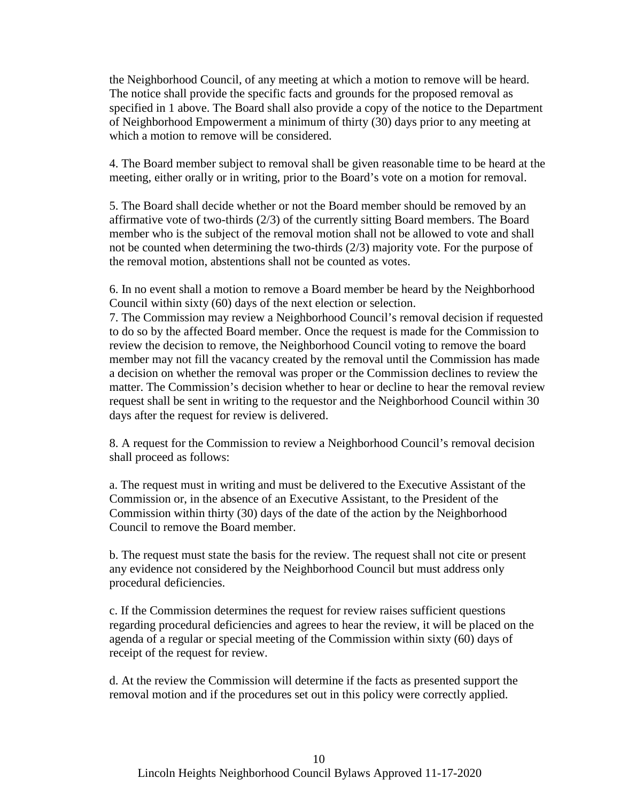the Neighborhood Council, of any meeting at which a motion to remove will be heard. The notice shall provide the specific facts and grounds for the proposed removal as specified in 1 above. The Board shall also provide a copy of the notice to the Department of Neighborhood Empowerment a minimum of thirty (30) days prior to any meeting at which a motion to remove will be considered.

4. The Board member subject to removal shall be given reasonable time to be heard at the meeting, either orally or in writing, prior to the Board's vote on a motion for removal.

5. The Board shall decide whether or not the Board member should be removed by an affirmative vote of two-thirds (2/3) of the currently sitting Board members. The Board member who is the subject of the removal motion shall not be allowed to vote and shall not be counted when determining the two-thirds (2/3) majority vote. For the purpose of the removal motion, abstentions shall not be counted as votes.

6. In no event shall a motion to remove a Board member be heard by the Neighborhood Council within sixty (60) days of the next election or selection.

7. The Commission may review a Neighborhood Council's removal decision if requested to do so by the affected Board member. Once the request is made for the Commission to review the decision to remove, the Neighborhood Council voting to remove the board member may not fill the vacancy created by the removal until the Commission has made a decision on whether the removal was proper or the Commission declines to review the matter. The Commission's decision whether to hear or decline to hear the removal review request shall be sent in writing to the requestor and the Neighborhood Council within 30 days after the request for review is delivered.

8. A request for the Commission to review a Neighborhood Council's removal decision shall proceed as follows:

a. The request must in writing and must be delivered to the Executive Assistant of the Commission or, in the absence of an Executive Assistant, to the President of the Commission within thirty (30) days of the date of the action by the Neighborhood Council to remove the Board member.

b. The request must state the basis for the review. The request shall not cite or present any evidence not considered by the Neighborhood Council but must address only procedural deficiencies.

c. If the Commission determines the request for review raises sufficient questions regarding procedural deficiencies and agrees to hear the review, it will be placed on the agenda of a regular or special meeting of the Commission within sixty (60) days of receipt of the request for review.

d. At the review the Commission will determine if the facts as presented support the removal motion and if the procedures set out in this policy were correctly applied.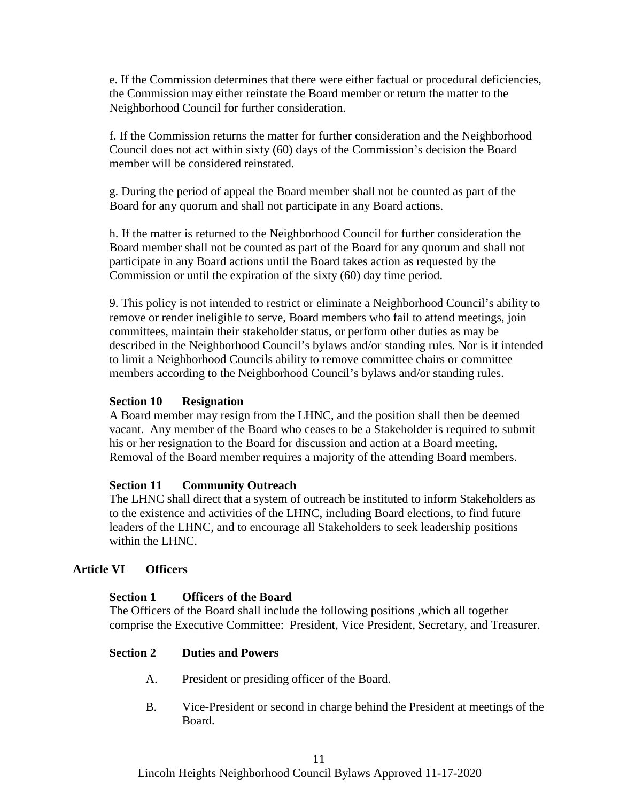e. If the Commission determines that there were either factual or procedural deficiencies, the Commission may either reinstate the Board member or return the matter to the Neighborhood Council for further consideration.

f. If the Commission returns the matter for further consideration and the Neighborhood Council does not act within sixty (60) days of the Commission's decision the Board member will be considered reinstated.

g. During the period of appeal the Board member shall not be counted as part of the Board for any quorum and shall not participate in any Board actions.

h. If the matter is returned to the Neighborhood Council for further consideration the Board member shall not be counted as part of the Board for any quorum and shall not participate in any Board actions until the Board takes action as requested by the Commission or until the expiration of the sixty (60) day time period.

9. This policy is not intended to restrict or eliminate a Neighborhood Council's ability to remove or render ineligible to serve, Board members who fail to attend meetings, join committees, maintain their stakeholder status, or perform other duties as may be described in the Neighborhood Council's bylaws and/or standing rules. Nor is it intended to limit a Neighborhood Councils ability to remove committee chairs or committee members according to the Neighborhood Council's bylaws and/or standing rules.

## **Section 10 Resignation**

A Board member may resign from the LHNC, and the position shall then be deemed vacant. Any member of the Board who ceases to be a Stakeholder is required to submit his or her resignation to the Board for discussion and action at a Board meeting. Removal of the Board member requires a majority of the attending Board members.

#### **Section 11 Community Outreach**

The LHNC shall direct that a system of outreach be instituted to inform Stakeholders as to the existence and activities of the LHNC, including Board elections, to find future leaders of the LHNC, and to encourage all Stakeholders to seek leadership positions within the LHNC.

#### **Article VI Officers**

#### **Section 1 Officers of the Board**

The Officers of the Board shall include the following positions ,which all together comprise the Executive Committee: President, Vice President, Secretary, and Treasurer.

#### **Section 2 Duties and Powers**

- A. President or presiding officer of the Board.
- B. Vice-President or second in charge behind the President at meetings of the Board.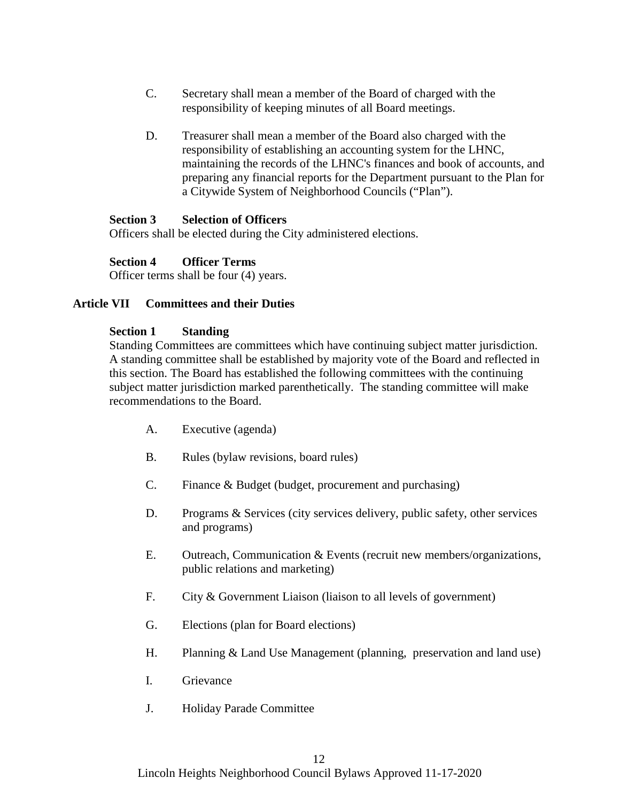- C. Secretary shall mean a member of the Board of charged with the responsibility of keeping minutes of all Board meetings.
- D. Treasurer shall mean a member of the Board also charged with the responsibility of establishing an accounting system for the LHNC, maintaining the records of the LHNC's finances and book of accounts, and preparing any financial reports for the Department pursuant to the Plan for a Citywide System of Neighborhood Councils ("Plan").

#### **Section 3 Selection of Officers**

Officers shall be elected during the City administered elections.

#### **Section 4 Officer Terms**

Officer terms shall be four (4) years.

#### **Article VII Committees and their Duties**

#### **Section 1 Standing**

Standing Committees are committees which have continuing subject matter jurisdiction. A standing committee shall be established by majority vote of the Board and reflected in this section. The Board has established the following committees with the continuing subject matter jurisdiction marked parenthetically. The standing committee will make recommendations to the Board.

- A. Executive (agenda)
- B. Rules (bylaw revisions, board rules)
- C. Finance & Budget (budget, procurement and purchasing)
- D. Programs & Services (city services delivery, public safety, other services and programs)
- E. Outreach, Communication & Events (recruit new members/organizations, public relations and marketing)
- F. City & Government Liaison (liaison to all levels of government)
- G. Elections (plan for Board elections)
- H. Planning & Land Use Management (planning, preservation and land use)
- I. Grievance
- J. Holiday Parade Committee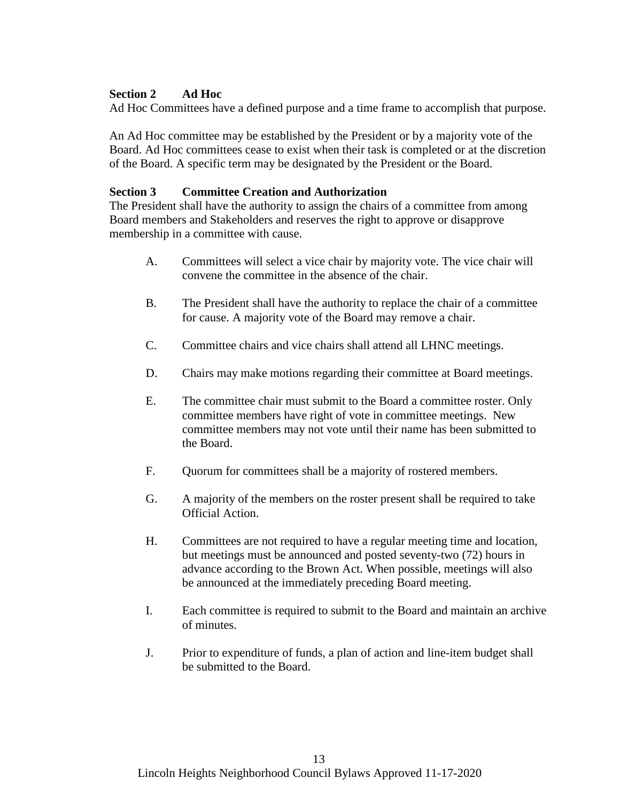## **Section 2 Ad Hoc**

Ad Hoc Committees have a defined purpose and a time frame to accomplish that purpose.

An Ad Hoc committee may be established by the President or by a majority vote of the Board. Ad Hoc committees cease to exist when their task is completed or at the discretion of the Board. A specific term may be designated by the President or the Board.

#### **Section 3 Committee Creation and Authorization**

The President shall have the authority to assign the chairs of a committee from among Board members and Stakeholders and reserves the right to approve or disapprove membership in a committee with cause.

- A. Committees will select a vice chair by majority vote. The vice chair will convene the committee in the absence of the chair.
- B. The President shall have the authority to replace the chair of a committee for cause. A majority vote of the Board may remove a chair.
- C. Committee chairs and vice chairs shall attend all LHNC meetings.
- D. Chairs may make motions regarding their committee at Board meetings.
- E. The committee chair must submit to the Board a committee roster. Only committee members have right of vote in committee meetings. New committee members may not vote until their name has been submitted to the Board.
- F. Quorum for committees shall be a majority of rostered members.
- G. A majority of the members on the roster present shall be required to take Official Action.
- H. Committees are not required to have a regular meeting time and location, but meetings must be announced and posted seventy-two (72) hours in advance according to the Brown Act. When possible, meetings will also be announced at the immediately preceding Board meeting.
- I. Each committee is required to submit to the Board and maintain an archive of minutes.
- J. Prior to expenditure of funds, a plan of action and line-item budget shall be submitted to the Board.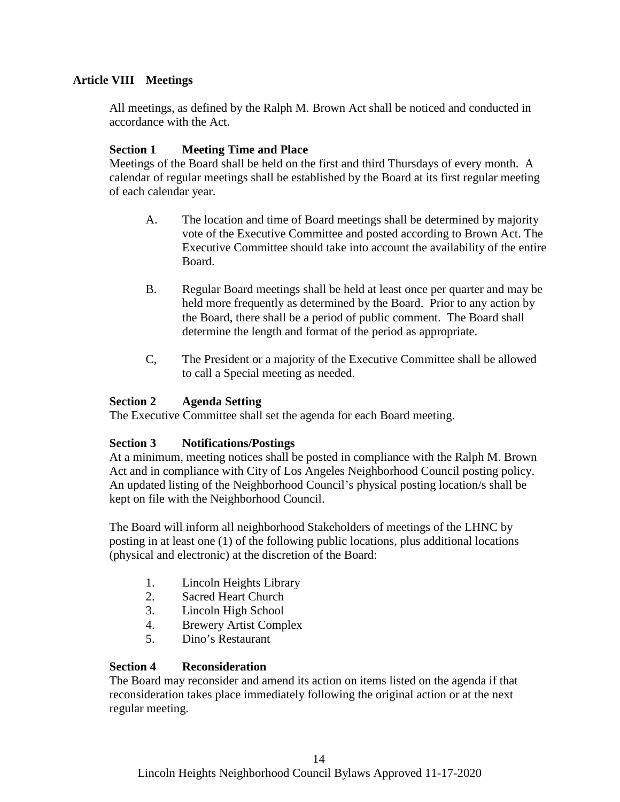# **Article VIII Meetings**

All meetings, as defined by the Ralph M. Brown Act shall be noticed and conducted in accordance with the Act.

# **Section 1 Meeting Time and Place**

Meetings of the Board shall be held on the first and third Thursdays of every month. A calendar of regular meetings shall be established by the Board at its first regular meeting of each calendar year.

- A. The location and time of Board meetings shall be determined by majority vote of the Executive Committee and posted according to Brown Act. The Executive Committee should take into account the availability of the entire Board.
- B. Regular Board meetings shall be held at least once per quarter and may be held more frequently as determined by the Board. Prior to any action by the Board, there shall be a period of public comment. The Board shall determine the length and format of the period as appropriate.
- C, The President or a majority of the Executive Committee shall be allowed to call a Special meeting as needed.

# **Section 2 Agenda Setting**

The Executive Committee shall set the agenda for each Board meeting.

## **Section 3 Notifications/Postings**

At a minimum, meeting notices shall be posted in compliance with the Ralph M. Brown Act and in compliance with City of Los Angeles Neighborhood Council posting policy. An updated listing of the Neighborhood Council's physical posting location/s shall be kept on file with the Neighborhood Council.

The Board will inform all neighborhood Stakeholders of meetings of the LHNC by posting in at least one (1) of the following public locations, plus additional locations (physical and electronic) at the discretion of the Board:

- 1. Lincoln Heights Library
- 2. Sacred Heart Church
- 3. Lincoln High School
- 4. Brewery Artist Complex
- 5. Dino's Restaurant

## **Section 4 Reconsideration**

The Board may reconsider and amend its action on items listed on the agenda if that reconsideration takes place immediately following the original action or at the next regular meeting.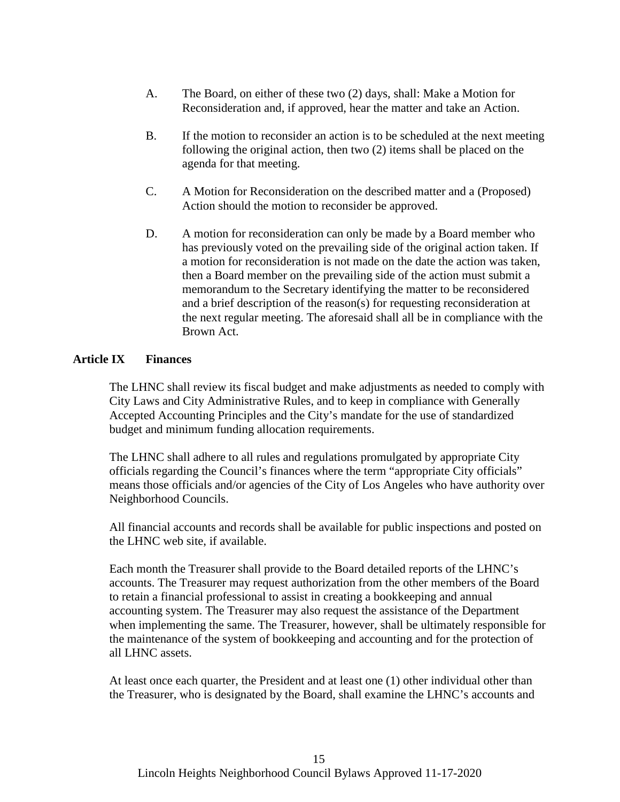- A. The Board, on either of these two (2) days, shall: Make a Motion for Reconsideration and, if approved, hear the matter and take an Action.
- B. If the motion to reconsider an action is to be scheduled at the next meeting following the original action, then two (2) items shall be placed on the agenda for that meeting.
- C. A Motion for Reconsideration on the described matter and a (Proposed) Action should the motion to reconsider be approved.
- D. A motion for reconsideration can only be made by a Board member who has previously voted on the prevailing side of the original action taken. If a motion for reconsideration is not made on the date the action was taken, then a Board member on the prevailing side of the action must submit a memorandum to the Secretary identifying the matter to be reconsidered and a brief description of the reason(s) for requesting reconsideration at the next regular meeting. The aforesaid shall all be in compliance with the Brown Act.

## **Article IX Finances**

The LHNC shall review its fiscal budget and make adjustments as needed to comply with City Laws and City Administrative Rules, and to keep in compliance with Generally Accepted Accounting Principles and the City's mandate for the use of standardized budget and minimum funding allocation requirements.

The LHNC shall adhere to all rules and regulations promulgated by appropriate City officials regarding the Council's finances where the term "appropriate City officials" means those officials and/or agencies of the City of Los Angeles who have authority over Neighborhood Councils.

All financial accounts and records shall be available for public inspections and posted on the LHNC web site, if available.

Each month the Treasurer shall provide to the Board detailed reports of the LHNC's accounts. The Treasurer may request authorization from the other members of the Board to retain a financial professional to assist in creating a bookkeeping and annual accounting system. The Treasurer may also request the assistance of the Department when implementing the same. The Treasurer, however, shall be ultimately responsible for the maintenance of the system of bookkeeping and accounting and for the protection of all LHNC assets.

At least once each quarter, the President and at least one (1) other individual other than the Treasurer, who is designated by the Board, shall examine the LHNC's accounts and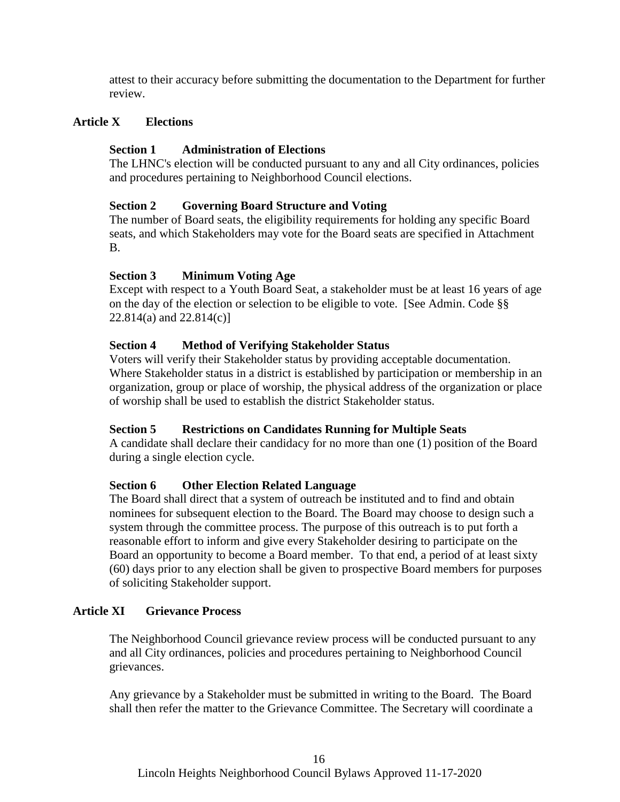attest to their accuracy before submitting the documentation to the Department for further review.

## **Article X Elections**

## **Section 1 Administration of Elections**

The LHNC's election will be conducted pursuant to any and all City ordinances, policies and procedures pertaining to Neighborhood Council elections.

## **Section 2 Governing Board Structure and Voting**

The number of Board seats, the eligibility requirements for holding any specific Board seats, and which Stakeholders may vote for the Board seats are specified in Attachment B.

## **Section 3 Minimum Voting Age**

Except with respect to a Youth Board Seat, a stakeholder must be at least 16 years of age on the day of the election or selection to be eligible to vote. [See Admin. Code §§ 22.814(a) and 22.814(c)]

## **Section 4 Method of Verifying Stakeholder Status**

Voters will verify their Stakeholder status by providing acceptable documentation. Where Stakeholder status in a district is established by participation or membership in an organization, group or place of worship, the physical address of the organization or place of worship shall be used to establish the district Stakeholder status.

## **Section 5 Restrictions on Candidates Running for Multiple Seats**

A candidate shall declare their candidacy for no more than one (1) position of the Board during a single election cycle.

## **Section 6 Other Election Related Language**

The Board shall direct that a system of outreach be instituted and to find and obtain nominees for subsequent election to the Board. The Board may choose to design such a system through the committee process. The purpose of this outreach is to put forth a reasonable effort to inform and give every Stakeholder desiring to participate on the Board an opportunity to become a Board member. To that end, a period of at least sixty (60) days prior to any election shall be given to prospective Board members for purposes of soliciting Stakeholder support.

#### **Article XI Grievance Process**

The Neighborhood Council grievance review process will be conducted pursuant to any and all City ordinances, policies and procedures pertaining to Neighborhood Council grievances.

Any grievance by a Stakeholder must be submitted in writing to the Board. The Board shall then refer the matter to the Grievance Committee. The Secretary will coordinate a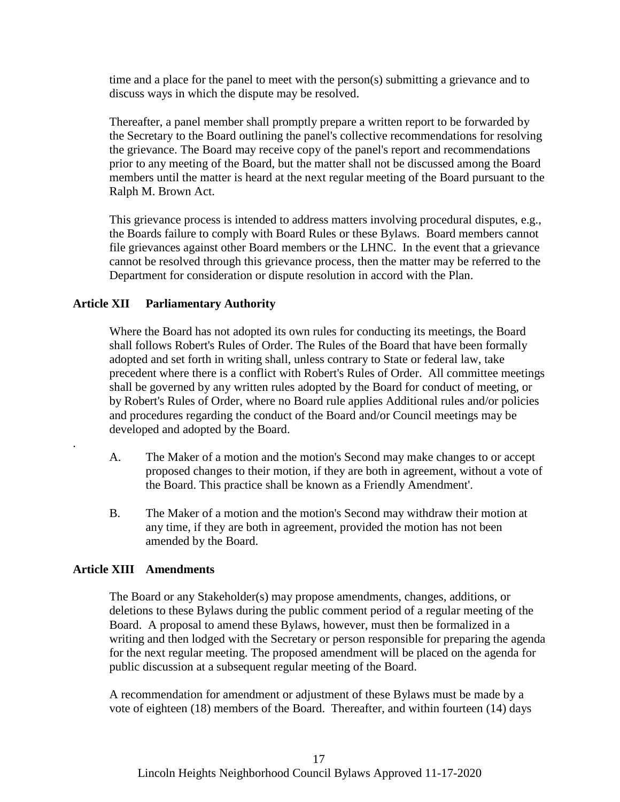time and a place for the panel to meet with the person(s) submitting a grievance and to discuss ways in which the dispute may be resolved.

Thereafter, a panel member shall promptly prepare a written report to be forwarded by the Secretary to the Board outlining the panel's collective recommendations for resolving the grievance. The Board may receive copy of the panel's report and recommendations prior to any meeting of the Board, but the matter shall not be discussed among the Board members until the matter is heard at the next regular meeting of the Board pursuant to the Ralph M. Brown Act.

This grievance process is intended to address matters involving procedural disputes, e.g., the Boards failure to comply with Board Rules or these Bylaws. Board members cannot file grievances against other Board members or the LHNC. In the event that a grievance cannot be resolved through this grievance process, then the matter may be referred to the Department for consideration or dispute resolution in accord with the Plan.

## **Article XII Parliamentary Authority**

Where the Board has not adopted its own rules for conducting its meetings, the Board shall follows Robert's Rules of Order. The Rules of the Board that have been formally adopted and set forth in writing shall, unless contrary to State or federal law, take precedent where there is a conflict with Robert's Rules of Order. All committee meetings shall be governed by any written rules adopted by the Board for conduct of meeting, or by Robert's Rules of Order, where no Board rule applies Additional rules and/or policies and procedures regarding the conduct of the Board and/or Council meetings may be developed and adopted by the Board.

- A. The Maker of a motion and the motion's Second may make changes to or accept proposed changes to their motion, if they are both in agreement, without a vote of the Board. This practice shall be known as a Friendly Amendment'.
- B. The Maker of a motion and the motion's Second may withdraw their motion at any time, if they are both in agreement, provided the motion has not been amended by the Board.

#### **Article XIII Amendments**

.

The Board or any Stakeholder(s) may propose amendments, changes, additions, or deletions to these Bylaws during the public comment period of a regular meeting of the Board. A proposal to amend these Bylaws, however, must then be formalized in a writing and then lodged with the Secretary or person responsible for preparing the agenda for the next regular meeting. The proposed amendment will be placed on the agenda for public discussion at a subsequent regular meeting of the Board.

A recommendation for amendment or adjustment of these Bylaws must be made by a vote of eighteen (18) members of the Board. Thereafter, and within fourteen (14) days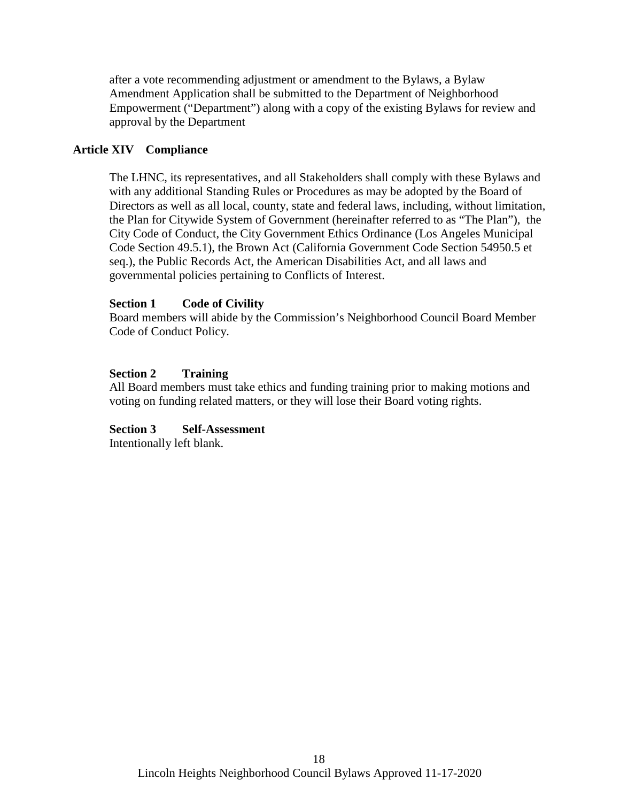after a vote recommending adjustment or amendment to the Bylaws, a Bylaw Amendment Application shall be submitted to the Department of Neighborhood Empowerment ("Department") along with a copy of the existing Bylaws for review and approval by the Department

## **Article XIV Compliance**

The LHNC, its representatives, and all Stakeholders shall comply with these Bylaws and with any additional Standing Rules or Procedures as may be adopted by the Board of Directors as well as all local, county, state and federal laws, including, without limitation, the Plan for Citywide System of Government (hereinafter referred to as "The Plan"), the City Code of Conduct, the City Government Ethics Ordinance (Los Angeles Municipal Code Section 49.5.1), the Brown Act (California Government Code Section 54950.5 et seq.), the Public Records Act, the American Disabilities Act, and all laws and governmental policies pertaining to Conflicts of Interest.

## **Section 1 Code of Civility**

Board members will abide by the Commission's Neighborhood Council Board Member Code of Conduct Policy.

## **Section 2 Training**

All Board members must take ethics and funding training prior to making motions and voting on funding related matters, or they will lose their Board voting rights.

## **Section 3 Self-Assessment**

Intentionally left blank.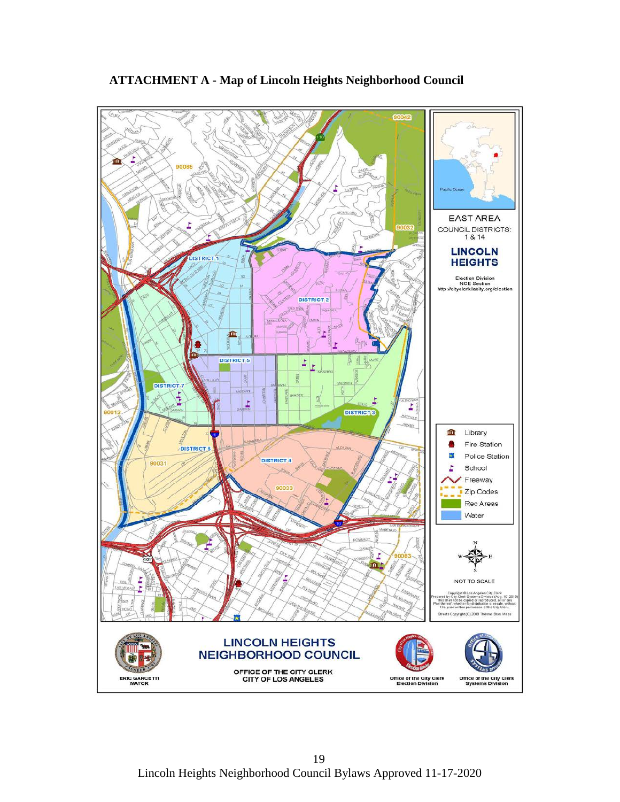

**ATTACHMENT A - Map of Lincoln Heights Neighborhood Council**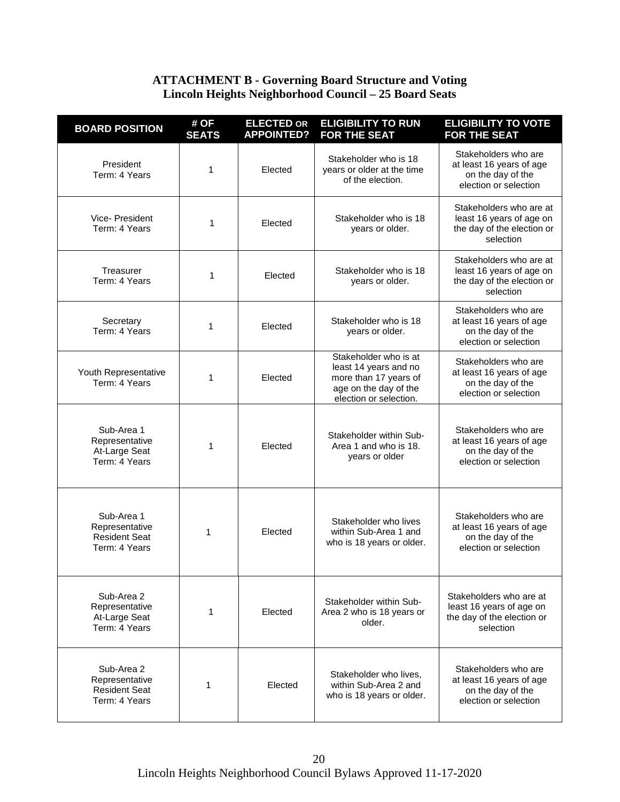## **ATTACHMENT B - Governing Board Structure and Voting Lincoln Heights Neighborhood Council – 25 Board Seats**

| <b>BOARD POSITION</b>                                                 | # OF<br><b>SEATS</b> | <b>ELECTED OR</b><br><b>APPOINTED?</b> | <b>ELIGIBILITY TO RUN</b><br><b>FOR THE SEAT</b>                                                                           | <b>ELIGIBILITY TO VOTE</b><br><b>FOR THE SEAT</b>                                              |
|-----------------------------------------------------------------------|----------------------|----------------------------------------|----------------------------------------------------------------------------------------------------------------------------|------------------------------------------------------------------------------------------------|
| President<br>Term: 4 Years                                            | 1                    | Elected                                | Stakeholder who is 18<br>years or older at the time<br>of the election.                                                    | Stakeholders who are<br>at least 16 years of age<br>on the day of the<br>election or selection |
| Vice-President<br>Term: 4 Years                                       | 1                    | Elected                                | Stakeholder who is 18<br>vears or older.                                                                                   | Stakeholders who are at<br>least 16 years of age on<br>the day of the election or<br>selection |
| Treasurer<br>Term: 4 Years                                            | 1                    | Elected                                | Stakeholder who is 18<br>years or older.                                                                                   | Stakeholders who are at<br>least 16 years of age on<br>the day of the election or<br>selection |
| Secretary<br>Term: 4 Years                                            | 1                    | Elected                                | Stakeholder who is 18<br>years or older.                                                                                   | Stakeholders who are<br>at least 16 years of age<br>on the day of the<br>election or selection |
| Youth Representative<br>Term: 4 Years                                 | 1                    | Elected                                | Stakeholder who is at<br>least 14 years and no<br>more than 17 years of<br>age on the day of the<br>election or selection. | Stakeholders who are<br>at least 16 years of age<br>on the day of the<br>election or selection |
| Sub-Area 1<br>Representative<br>At-Large Seat<br>Term: 4 Years        | 1                    | Elected                                | Stakeholder within Sub-<br>Area 1 and who is 18.<br>years or older                                                         | Stakeholders who are<br>at least 16 years of age<br>on the day of the<br>election or selection |
| Sub-Area 1<br>Representative<br><b>Resident Seat</b><br>Term: 4 Years | 1                    | Elected                                | Stakeholder who lives<br>within Sub-Area 1 and<br>who is 18 years or older.                                                | Stakeholders who are<br>at least 16 years of age<br>on the day of the<br>election or selection |
| Sub-Area 2<br>Representative<br>At-Large Seat<br>Term: 4 Years        | 1                    | Elected                                | Stakeholder within Sub-<br>Area 2 who is 18 years or<br>older.                                                             | Stakeholders who are at<br>least 16 years of age on<br>the day of the election or<br>selection |
| Sub-Area 2<br>Representative<br><b>Resident Seat</b><br>Term: 4 Years | 1                    | Elected                                | Stakeholder who lives.<br>within Sub-Area 2 and<br>who is 18 years or older.                                               | Stakeholders who are<br>at least 16 years of age<br>on the day of the<br>election or selection |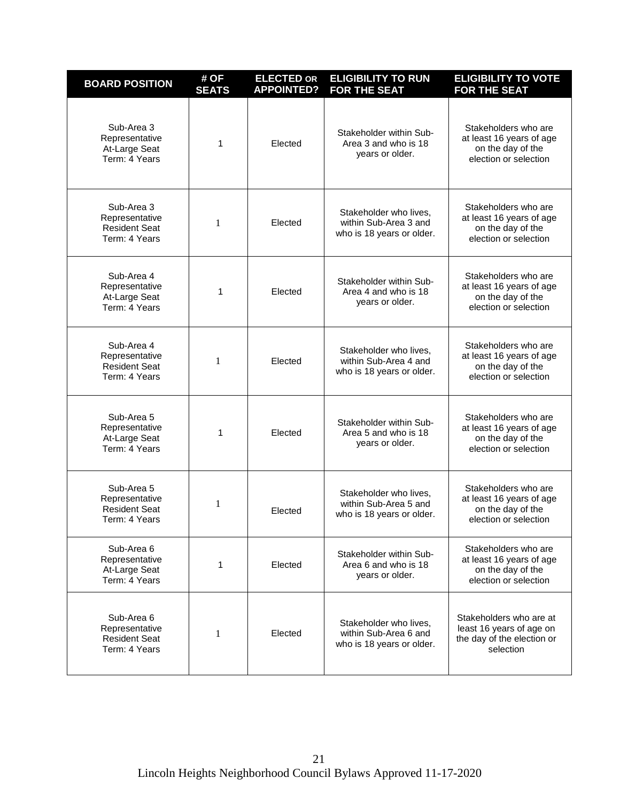| <b>BOARD POSITION</b>                                                 | # OF<br><b>SEATS</b> | <b>ELECTED OR</b><br><b>APPOINTED?</b> | <b>ELIGIBILITY TO RUN</b><br><b>FOR THE SEAT</b>                             | <b>ELIGIBILITY TO VOTE</b><br><b>FOR THE SEAT</b>                                              |
|-----------------------------------------------------------------------|----------------------|----------------------------------------|------------------------------------------------------------------------------|------------------------------------------------------------------------------------------------|
| Sub-Area 3<br>Representative<br>At-Large Seat<br>Term: 4 Years        | 1                    | Elected                                | Stakeholder within Sub-<br>Area 3 and who is 18<br>years or older.           | Stakeholders who are<br>at least 16 years of age<br>on the day of the<br>election or selection |
| Sub-Area 3<br>Representative<br><b>Resident Seat</b><br>Term: 4 Years | 1                    | Elected                                | Stakeholder who lives,<br>within Sub-Area 3 and<br>who is 18 years or older. | Stakeholders who are<br>at least 16 years of age<br>on the day of the<br>election or selection |
| Sub-Area 4<br>Representative<br>At-Large Seat<br>Term: 4 Years        | 1                    | Elected                                | Stakeholder within Sub-<br>Area 4 and who is 18<br>years or older.           | Stakeholders who are<br>at least 16 years of age<br>on the day of the<br>election or selection |
| Sub-Area 4<br>Representative<br><b>Resident Seat</b><br>Term: 4 Years | 1                    | Elected                                | Stakeholder who lives,<br>within Sub-Area 4 and<br>who is 18 years or older. | Stakeholders who are<br>at least 16 years of age<br>on the day of the<br>election or selection |
| Sub-Area 5<br>Representative<br>At-Large Seat<br>Term: 4 Years        | 1                    | Elected                                | Stakeholder within Sub-<br>Area 5 and who is 18<br>years or older.           | Stakeholders who are<br>at least 16 years of age<br>on the day of the<br>election or selection |
| Sub-Area 5<br>Representative<br><b>Resident Seat</b><br>Term: 4 Years | 1                    | Elected                                | Stakeholder who lives,<br>within Sub-Area 5 and<br>who is 18 years or older. | Stakeholders who are<br>at least 16 years of age<br>on the day of the<br>election or selection |
| Sub-Area 6<br>Representative<br>At-Large Seat<br>Term: 4 Years        | 1                    | Elected                                | Stakeholder within Sub-<br>Area 6 and who is 18<br>years or older.           | Stakeholders who are<br>at least 16 years of age<br>on the day of the<br>election or selection |
| Sub-Area 6<br>Representative<br><b>Resident Seat</b><br>Term: 4 Years | 1                    | Elected                                | Stakeholder who lives,<br>within Sub-Area 6 and<br>who is 18 years or older. | Stakeholders who are at<br>least 16 years of age on<br>the day of the election or<br>selection |